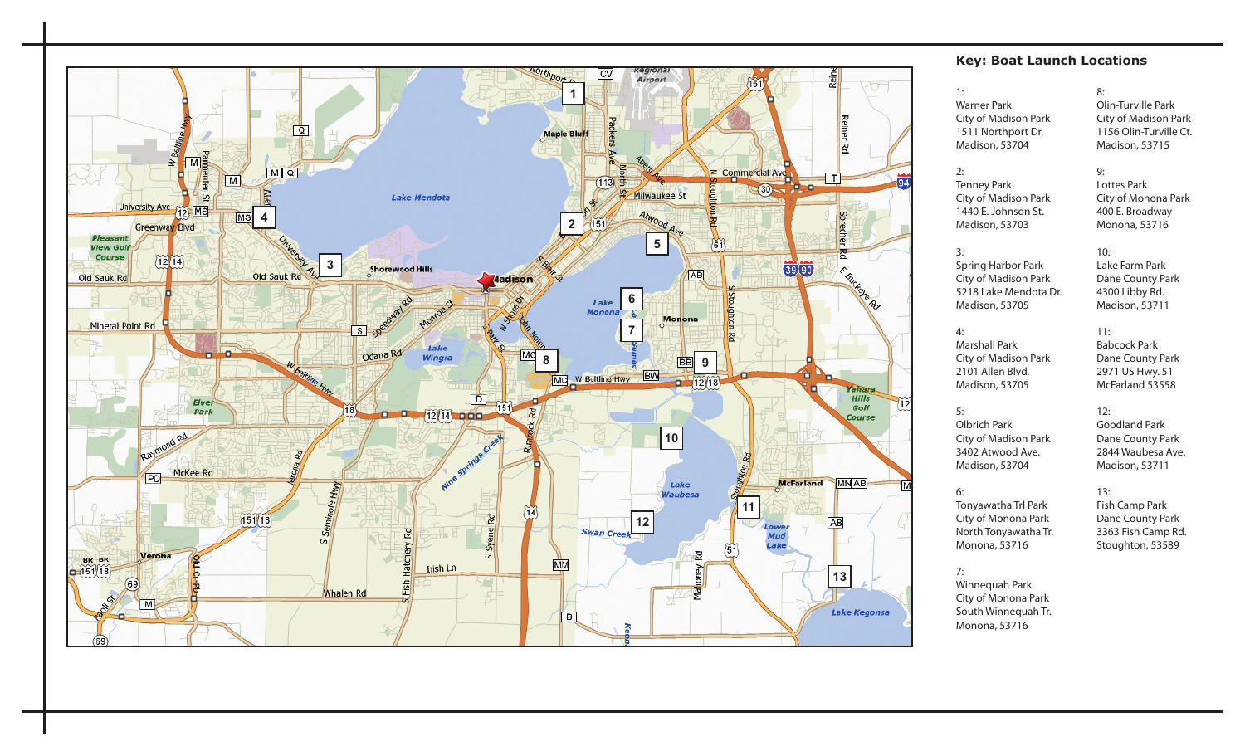

#### **Key: Boat Launch Locations**

#### 1:

2:

3:

4:

5:

6:

Tenney Park City of Madison Park 1440 E. Johnson St. Madison, 53703

Warner Park City of Madison Park 1511 Northport Dr. Madison, 53704

#### 8: Olin-Turville Park City of Madison Park 1156 Olin-Turville Ct. Madison, 53715

9: Lottes Park City of Monona Park 400 E. Broadway Monona, 53716

#### Spring Harbor Park City of Madison Park 5218 Lake Mendota Dr. 10: Lake Farm Park Dane County Park 4300 Libby Rd. Madison, 53711

11:

12:

# Marshall Park

City of Madison Park 2101 Allen Blvd. Madison, 53705

Madison, 53705

#### Babcock Park Dane County Park 2971 US Hwy. 51 McFarland 53558

Goodland Park Dane County Park 2844 Waubesa Ave. Madison, 53711

Olbrich Park City of Madison Park 3402 Atwood Ave. Madison, 53704

Tonyawatha Trl Park City of Monona Park North Tonyawatha Tr. Monona, 53716

13: Fish Camp Park Dane County Park 3363 Fish Camp Rd. Stoughton, 53589

7: Winnequah Park City of Monona Park South Winnequah Tr. Monona, 53716